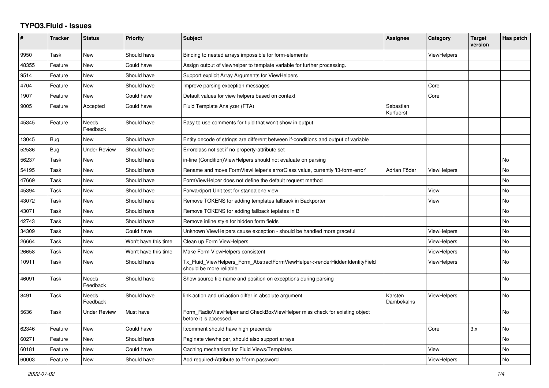## **TYPO3.Fluid - Issues**

| #     | <b>Tracker</b> | <b>Status</b>            | <b>Priority</b>      | <b>Subject</b>                                                                                         | Assignee               | Category           | <b>Target</b><br>version | Has patch      |
|-------|----------------|--------------------------|----------------------|--------------------------------------------------------------------------------------------------------|------------------------|--------------------|--------------------------|----------------|
| 9950  | Task           | <b>New</b>               | Should have          | Binding to nested arrays impossible for form-elements                                                  |                        | <b>ViewHelpers</b> |                          |                |
| 48355 | Feature        | <b>New</b>               | Could have           | Assign output of viewhelper to template variable for further processing.                               |                        |                    |                          |                |
| 9514  | Feature        | <b>New</b>               | Should have          | Support explicit Array Arguments for ViewHelpers                                                       |                        |                    |                          |                |
| 4704  | Feature        | <b>New</b>               | Should have          | Improve parsing exception messages                                                                     |                        | Core               |                          |                |
| 1907  | Feature        | <b>New</b>               | Could have           | Default values for view helpers based on context                                                       |                        | Core               |                          |                |
| 9005  | Feature        | Accepted                 | Could have           | Fluid Template Analyzer (FTA)                                                                          | Sebastian<br>Kurfuerst |                    |                          |                |
| 45345 | Feature        | <b>Needs</b><br>Feedback | Should have          | Easy to use comments for fluid that won't show in output                                               |                        |                    |                          |                |
| 13045 | Bug            | <b>New</b>               | Should have          | Entity decode of strings are different between if-conditions and output of variable                    |                        |                    |                          |                |
| 52536 | <b>Bug</b>     | <b>Under Review</b>      | Should have          | Errorclass not set if no property-attribute set                                                        |                        |                    |                          |                |
| 56237 | Task           | <b>New</b>               | Should have          | in-line (Condition) View Helpers should not evaluate on parsing                                        |                        |                    |                          | <b>No</b>      |
| 54195 | Task           | <b>New</b>               | Should have          | Rename and move FormViewHelper's errorClass value, currently 'f3-form-error'                           | Adrian Föder           | <b>ViewHelpers</b> |                          | <b>No</b>      |
| 47669 | Task           | <b>New</b>               | Should have          | FormViewHelper does not define the default request method                                              |                        |                    |                          | No             |
| 45394 | Task           | <b>New</b>               | Should have          | Forwardport Unit test for standalone view                                                              |                        | View               |                          | <b>No</b>      |
| 43072 | Task           | <b>New</b>               | Should have          | Remove TOKENS for adding templates fallback in Backporter                                              |                        | View               |                          | <b>No</b>      |
| 43071 | Task           | <b>New</b>               | Should have          | Remove TOKENS for adding fallback teplates in B                                                        |                        |                    |                          | No             |
| 42743 | Task           | <b>New</b>               | Should have          | Remove inline style for hidden form fields                                                             |                        |                    |                          | <b>No</b>      |
| 34309 | Task           | <b>New</b>               | Could have           | Unknown ViewHelpers cause exception - should be handled more graceful                                  |                        | <b>ViewHelpers</b> |                          | <b>No</b>      |
| 26664 | Task           | <b>New</b>               | Won't have this time | Clean up Form ViewHelpers                                                                              |                        | <b>ViewHelpers</b> |                          | <b>No</b>      |
| 26658 | Task           | <b>New</b>               | Won't have this time | Make Form ViewHelpers consistent                                                                       |                        | <b>ViewHelpers</b> |                          | No             |
| 10911 | Task           | <b>New</b>               | Should have          | Tx_Fluid_ViewHelpers_Form_AbstractFormViewHelper->renderHiddenIdentityField<br>should be more reliable |                        | ViewHelpers        |                          | <b>No</b>      |
| 46091 | Task           | <b>Needs</b><br>Feedback | Should have          | Show source file name and position on exceptions during parsing                                        |                        |                    |                          | No             |
| 8491  | Task           | <b>Needs</b><br>Feedback | Should have          | link action and uri action differ in absolute argument                                                 | Karsten<br>Dambekalns  | ViewHelpers        |                          | <b>No</b>      |
| 5636  | Task           | <b>Under Review</b>      | Must have            | Form RadioViewHelper and CheckBoxViewHelper miss check for existing object<br>before it is accessed.   |                        |                    |                          | No             |
| 62346 | Feature        | <b>New</b>               | Could have           | f:comment should have high precende                                                                    |                        | Core               | 3.x                      | N <sub>o</sub> |
| 60271 | Feature        | <b>New</b>               | Should have          | Paginate viewhelper, should also support arrays                                                        |                        |                    |                          | No             |
| 60181 | Feature        | New                      | Could have           | Caching mechanism for Fluid Views/Templates                                                            |                        | View               |                          | No             |
| 60003 | Feature        | <b>New</b>               | Should have          | Add required-Attribute to f:form.password                                                              |                        | ViewHelpers        |                          | <b>No</b>      |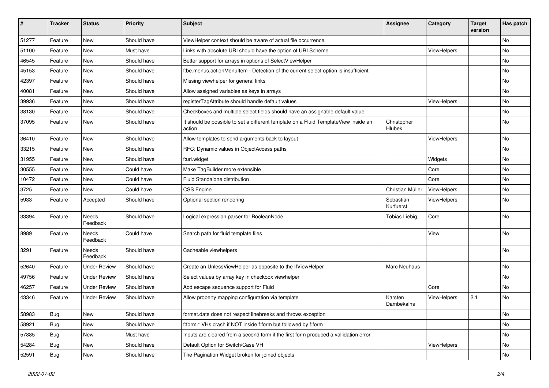| #     | <b>Tracker</b> | <b>Status</b>            | <b>Priority</b> | Subject                                                                                       | <b>Assignee</b>        | Category    | <b>Target</b><br>version | Has patch |
|-------|----------------|--------------------------|-----------------|-----------------------------------------------------------------------------------------------|------------------------|-------------|--------------------------|-----------|
| 51277 | Feature        | New                      | Should have     | ViewHelper context should be aware of actual file occurrence                                  |                        |             |                          | <b>No</b> |
| 51100 | Feature        | New                      | Must have       | Links with absolute URI should have the option of URI Scheme                                  |                        | ViewHelpers |                          | No        |
| 46545 | Feature        | New                      | Should have     | Better support for arrays in options of SelectViewHelper                                      |                        |             |                          | No        |
| 45153 | Feature        | New                      | Should have     | f:be.menus.actionMenuItem - Detection of the current select option is insufficient            |                        |             |                          | No        |
| 42397 | Feature        | New                      | Should have     | Missing viewhelper for general links                                                          |                        |             |                          | No        |
| 40081 | Feature        | New                      | Should have     | Allow assigned variables as keys in arrays                                                    |                        |             |                          | No        |
| 39936 | Feature        | New                      | Should have     | registerTagAttribute should handle default values                                             |                        | ViewHelpers |                          | No        |
| 38130 | Feature        | New                      | Should have     | Checkboxes and multiple select fields should have an assignable default value                 |                        |             |                          | No        |
| 37095 | Feature        | New                      | Should have     | It should be possible to set a different template on a Fluid TemplateView inside an<br>action | Christopher<br>Hlubek  |             |                          | No        |
| 36410 | Feature        | New                      | Should have     | Allow templates to send arguments back to layout                                              |                        | ViewHelpers |                          | No        |
| 33215 | Feature        | New                      | Should have     | RFC: Dynamic values in ObjectAccess paths                                                     |                        |             |                          | No        |
| 31955 | Feature        | New                      | Should have     | f:uri.widget                                                                                  |                        | Widgets     |                          | No        |
| 30555 | Feature        | New                      | Could have      | Make TagBuilder more extensible                                                               |                        | Core        |                          | No        |
| 10472 | Feature        | New                      | Could have      | Fluid Standalone distribution                                                                 |                        | Core        |                          | No        |
| 3725  | Feature        | New                      | Could have      | <b>CSS Engine</b>                                                                             | Christian Müller       | ViewHelpers |                          | No        |
| 5933  | Feature        | Accepted                 | Should have     | Optional section rendering                                                                    | Sebastian<br>Kurfuerst | ViewHelpers |                          | No        |
| 33394 | Feature        | <b>Needs</b><br>Feedback | Should have     | Logical expression parser for BooleanNode                                                     | <b>Tobias Liebig</b>   | Core        |                          | <b>No</b> |
| 8989  | Feature        | Needs<br>Feedback        | Could have      | Search path for fluid template files                                                          |                        | View        |                          | <b>No</b> |
| 3291  | Feature        | Needs<br>Feedback        | Should have     | Cacheable viewhelpers                                                                         |                        |             |                          | No        |
| 52640 | Feature        | <b>Under Review</b>      | Should have     | Create an UnlessViewHelper as opposite to the IfViewHelper                                    | Marc Neuhaus           |             |                          | No        |
| 49756 | Feature        | <b>Under Review</b>      | Should have     | Select values by array key in checkbox viewhelper                                             |                        |             |                          | No        |
| 46257 | Feature        | <b>Under Review</b>      | Should have     | Add escape sequence support for Fluid                                                         |                        | Core        |                          | No        |
| 43346 | Feature        | <b>Under Review</b>      | Should have     | Allow property mapping configuration via template                                             | Karsten<br>Dambekalns  | ViewHelpers | 2.1                      | No        |
| 58983 | <b>Bug</b>     | New                      | Should have     | format.date does not respect linebreaks and throws exception                                  |                        |             |                          | No        |
| 58921 | <b>Bug</b>     | New                      | Should have     | f:form.* VHs crash if NOT inside f:form but followed by f:form                                |                        |             |                          | No        |
| 57885 | Bug            | New                      | Must have       | Inputs are cleared from a second form if the first form produced a vallidation error          |                        |             |                          | No        |
| 54284 | <b>Bug</b>     | New                      | Should have     | Default Option for Switch/Case VH                                                             |                        | ViewHelpers |                          | No        |
| 52591 | <b>Bug</b>     | New                      | Should have     | The Pagination Widget broken for joined objects                                               |                        |             |                          | No        |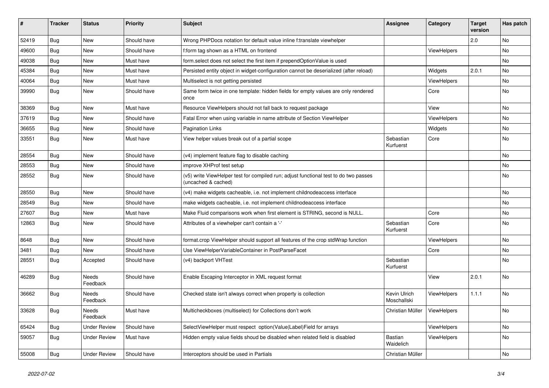| #     | <b>Tracker</b> | <b>Status</b>       | <b>Priority</b> | <b>Subject</b>                                                                                              | Assignee                    | Category    | <b>Target</b><br>version | Has patch |
|-------|----------------|---------------------|-----------------|-------------------------------------------------------------------------------------------------------------|-----------------------------|-------------|--------------------------|-----------|
| 52419 | <b>Bug</b>     | <b>New</b>          | Should have     | Wrong PHPDocs notation for default value inline f:translate viewhelper                                      |                             |             | 2.0                      | <b>No</b> |
| 49600 | <b>Bug</b>     | New                 | Should have     | f:form tag shown as a HTML on frontend                                                                      |                             | ViewHelpers |                          | <b>No</b> |
| 49038 | <b>Bug</b>     | New                 | Must have       | form.select does not select the first item if prependOptionValue is used                                    |                             |             |                          | No        |
| 45384 | <b>Bug</b>     | New                 | Must have       | Persisted entity object in widget-configuration cannot be deserialized (after reload)                       |                             | Widgets     | 2.0.1                    | No        |
| 40064 | <b>Bug</b>     | New                 | Must have       | Multiselect is not getting persisted                                                                        |                             | ViewHelpers |                          | <b>No</b> |
| 39990 | <b>Bug</b>     | New                 | Should have     | Same form twice in one template: hidden fields for empty values are only rendered<br>once                   |                             | Core        |                          | <b>No</b> |
| 38369 | Bug            | <b>New</b>          | Must have       | Resource ViewHelpers should not fall back to request package                                                |                             | View        |                          | <b>No</b> |
| 37619 | Bug            | New                 | Should have     | Fatal Error when using variable in name attribute of Section ViewHelper                                     |                             | ViewHelpers |                          | <b>No</b> |
| 36655 | Bug            | New                 | Should have     | <b>Pagination Links</b>                                                                                     |                             | Widgets     |                          | No        |
| 33551 | <b>Bug</b>     | <b>New</b>          | Must have       | View helper values break out of a partial scope                                                             | Sebastian<br>Kurfuerst      | Core        |                          | <b>No</b> |
| 28554 | Bug            | New                 | Should have     | (v4) implement feature flag to disable caching                                                              |                             |             |                          | No        |
| 28553 | Bug            | New                 | Should have     | improve XHProf test setup                                                                                   |                             |             |                          | No        |
| 28552 | <b>Bug</b>     | New                 | Should have     | (v5) write ViewHelper test for compiled run; adjust functional test to do two passes<br>(uncached & cached) |                             |             |                          | No        |
| 28550 | Bug            | New                 | Should have     | (v4) make widgets cacheable, i.e. not implement childnodeaccess interface                                   |                             |             |                          | <b>No</b> |
| 28549 | <b>Bug</b>     | New                 | Should have     | make widgets cacheable, i.e. not implement childnodeaccess interface                                        |                             |             |                          | <b>No</b> |
| 27607 | Bug            | New                 | Must have       | Make Fluid comparisons work when first element is STRING, second is NULL.                                   |                             | Core        |                          | <b>No</b> |
| 12863 | Bug            | New                 | Should have     | Attributes of a viewhelper can't contain a '-'                                                              | Sebastian<br>Kurfuerst      | Core        |                          | <b>No</b> |
| 8648  | <b>Bug</b>     | New                 | Should have     | format.crop ViewHelper should support all features of the crop stdWrap function                             |                             | ViewHelpers |                          | <b>No</b> |
| 3481  | Bug            | <b>New</b>          | Should have     | Use ViewHelperVariableContainer in PostParseFacet                                                           |                             | Core        |                          | No        |
| 28551 | Bug            | Accepted            | Should have     | (v4) backport VHTest                                                                                        | Sebastian<br>Kurfuerst      |             |                          | <b>No</b> |
| 46289 | Bug            | Needs<br>Feedback   | Should have     | Enable Escaping Interceptor in XML request format                                                           |                             | View        | 2.0.1                    | <b>No</b> |
| 36662 | <b>Bug</b>     | Needs<br>Feedback   | Should have     | Checked state isn't always correct when property is collection                                              | Kevin Ulrich<br>Moschallski | ViewHelpers | 1.1.1                    | No        |
| 33628 | <b>Bug</b>     | Needs<br>Feedback   | Must have       | Multicheckboxes (multiselect) for Collections don't work                                                    | Christian Müller            | ViewHelpers |                          | <b>No</b> |
| 65424 | Bug            | <b>Under Review</b> | Should have     | SelectViewHelper must respect option(Value Label)Field for arrays                                           |                             | ViewHelpers |                          | No        |
| 59057 | Bug            | Under Review        | Must have       | Hidden empty value fields shoud be disabled when related field is disabled                                  | Bastian<br>Waidelich        | ViewHelpers |                          | No        |
| 55008 | <b>Bug</b>     | <b>Under Review</b> | Should have     | Interceptors should be used in Partials                                                                     | Christian Müller            |             |                          | <b>No</b> |